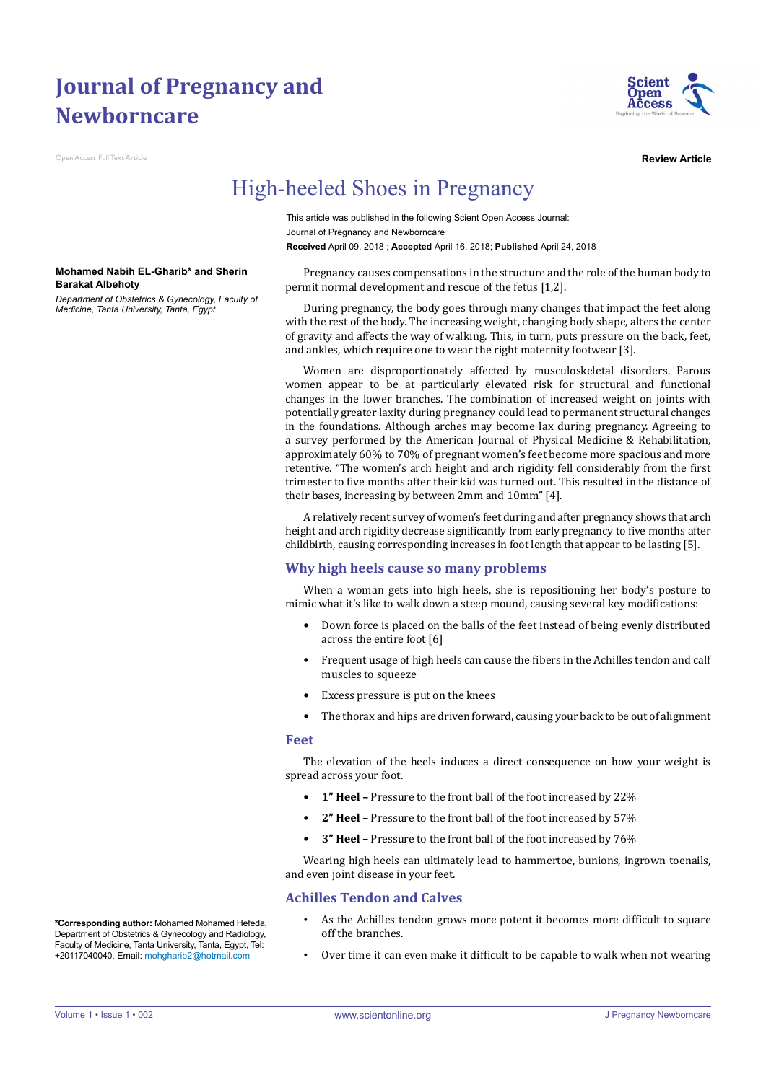# **Journal of Pregnancy and Newborncare**

**Access Full Text Article** 



**Review Article**

## High-heeled Shoes in Pregnancy

This article was published in the following Scient Open Access Journal: Journal of Pregnancy and Newborncare **Received** April 09, 2018 ; **Accepted** April 16, 2018; **Published** April 24, 2018

**Mohamed Nabih EL-Gharib\* and Sherin Barakat Albehoty**

*Department of Obstetrics & Gynecology, Faculty of Medicine, Tanta University, Tanta, Egypt*

Pregnancy causes compensations in the structure and the role of the human body to permit normal development and rescue of the fetus [1,2].

During pregnancy, the body goes through many changes that impact the feet along with the rest of the body. The increasing weight, changing body shape, alters the center of gravity and affects the way of walking. This, in turn, puts pressure on the back, feet, and ankles, which require one to wear the right maternity footwear [3].

Women are disproportionately affected by musculoskeletal disorders. Parous women appear to be at particularly elevated risk for structural and functional changes in the lower branches. The combination of increased weight on joints with potentially greater laxity during pregnancy could lead to permanent structural changes in the foundations. Although arches may become lax during pregnancy. Agreeing to a survey performed by the American Journal of Physical Medicine & Rehabilitation, approximately 60% to 70% of pregnant women's feet become more spacious and more retentive. "The women's arch height and arch rigidity fell considerably from the first trimester to five months after their kid was turned out. This resulted in the distance of their bases, increasing by between 2mm and 10mm" [4].

A relatively recent survey of women's feet during and after pregnancy shows that arch height and arch rigidity decrease significantly from early pregnancy to five months after childbirth, causing corresponding increases in foot length that appear to be lasting [5].

### **Why high heels cause so many problems**

When a woman gets into high heels, she is repositioning her body's posture to mimic what it's like to walk down a steep mound, causing several key modifications:

- Down force is placed on the balls of the feet instead of being evenly distributed across the entire foot [6]
- Frequent usage of high heels can cause the fibers in the Achilles tendon and calf muscles to squeeze
- Excess pressure is put on the knees
- The thorax and hips are driven forward, causing your back to be out of alignment

#### **Feet**

The elevation of the heels induces a direct consequence on how your weight is spread across your foot.

- **1" Heel** Pressure to the front ball of the foot increased by 22%
- **2" Heel** Pressure to the front ball of the foot increased by 57%
- **3" Heel** Pressure to the front ball of the foot increased by 76%

Wearing high heels can ultimately lead to hammertoe, bunions, ingrown toenails, and even joint disease in your feet.

### **Achilles Tendon and Calves**

- As the Achilles tendon grows more potent it becomes more difficult to square off the branches.
- Over time it can even make it difficult to be capable to walk when not wearing

**\*Corresponding author:** Mohamed Mohamed Hefeda, Department of Obstetrics & Gynecology and Radiology, Faculty of Medicine, Tanta University, Tanta, Egypt, Tel: +20117040040, Email: mohgharib2@hotmail.com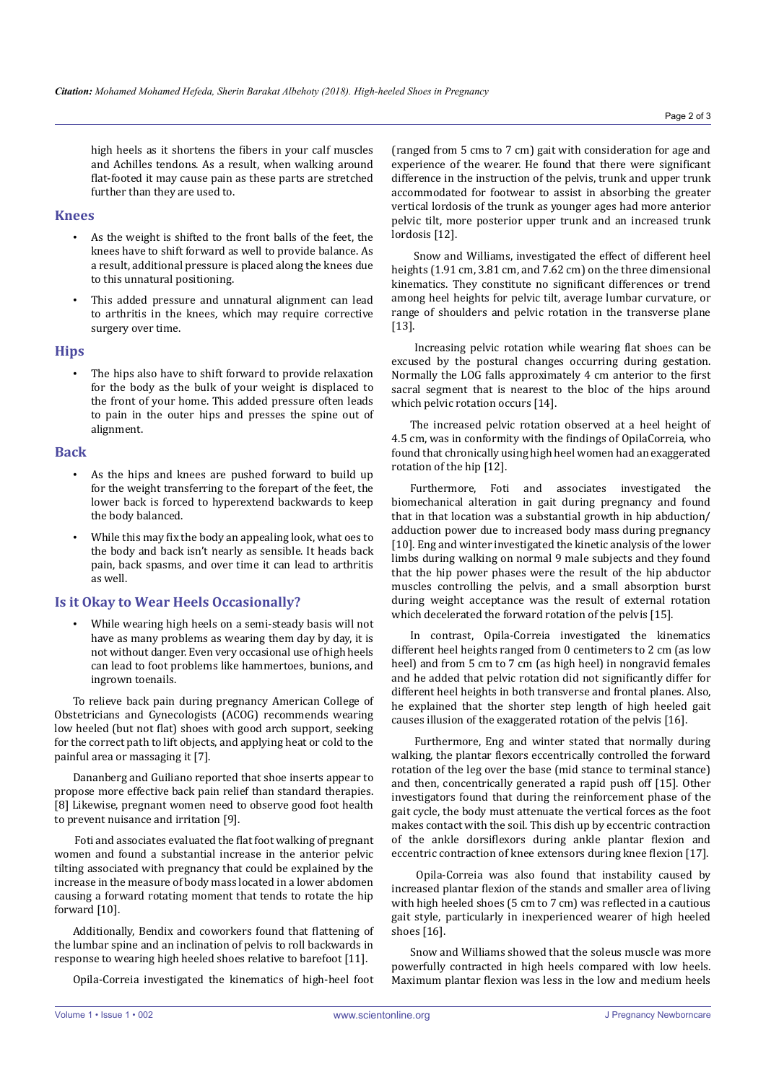high heels as it shortens the fibers in your calf muscles and Achilles tendons. As a result, when walking around flat-footed it may cause pain as these parts are stretched further than they are used to.

#### **Knees**

- As the weight is shifted to the front balls of the feet, the knees have to shift forward as well to provide balance. As a result, additional pressure is placed along the knees due to this unnatural positioning.
- This added pressure and unnatural alignment can lead to arthritis in the knees, which may require corrective surgery over time.

### **Hips**

The hips also have to shift forward to provide relaxation for the body as the bulk of your weight is displaced to the front of your home. This added pressure often leads to pain in the outer hips and presses the spine out of alignment.

#### **Back**

- As the hips and knees are pushed forward to build up for the weight transferring to the forepart of the feet, the lower back is forced to hyperextend backwards to keep the body balanced.
- While this may fix the body an appealing look, what oes to the body and back isn't nearly as sensible. It heads back pain, back spasms, and over time it can lead to arthritis as well.

### **Is it Okay to Wear Heels Occasionally?**

While wearing high heels on a semi-steady basis will not have as many problems as wearing them day by day, it is not without danger. Even very occasional use of high heels can lead to foot problems like hammertoes, bunions, and ingrown toenails.

To relieve back pain during pregnancy American College of Obstetricians and Gynecologists (ACOG) recommends wearing low heeled (but not flat) shoes with good arch support, seeking for the correct path to lift objects, and applying heat or cold to the painful area or massaging it [7].

Dananberg and Guiliano reported that shoe inserts appear to propose more effective back pain relief than standard therapies. [8] Likewise, pregnant women need to observe good foot health to prevent nuisance and irritation [9].

 Foti and associates evaluated the flat foot walking of pregnant women and found a substantial increase in the anterior pelvic tilting associated with pregnancy that could be explained by the increase in the measure of body mass located in a lower abdomen causing a forward rotating moment that tends to rotate the hip forward [10].

Additionally, Bendix and coworkers found that flattening of the lumbar spine and an inclination of pelvis to roll backwards in response to wearing high heeled shoes relative to barefoot [11].

Opila-Correia investigated the kinematics of high-heel foot

(ranged from 5 cms to 7 cm) gait with consideration for age and experience of the wearer. He found that there were significant difference in the instruction of the pelvis, trunk and upper trunk accommodated for footwear to assist in absorbing the greater vertical lordosis of the trunk as younger ages had more anterior pelvic tilt, more posterior upper trunk and an increased trunk lordosis [12].

 Snow and Williams, investigated the effect of different heel heights (1.91 cm, 3.81 cm, and 7.62 cm) on the three dimensional kinematics. They constitute no significant differences or trend among heel heights for pelvic tilt, average lumbar curvature, or range of shoulders and pelvic rotation in the transverse plane [13].

 Increasing pelvic rotation while wearing flat shoes can be excused by the postural changes occurring during gestation. Normally the LOG falls approximately 4 cm anterior to the first sacral segment that is nearest to the bloc of the hips around which pelvic rotation occurs [14].

The increased pelvic rotation observed at a heel height of 4.5 cm, was in conformity with the findings of OpilaCorreia, who found that chronically using high heel women had an exaggerated rotation of the hip [12].

Furthermore, Foti and associates investigated the biomechanical alteration in gait during pregnancy and found that in that location was a substantial growth in hip abduction/ adduction power due to increased body mass during pregnancy [10]. Eng and winter investigated the kinetic analysis of the lower limbs during walking on normal 9 male subjects and they found that the hip power phases were the result of the hip abductor muscles controlling the pelvis, and a small absorption burst during weight acceptance was the result of external rotation which decelerated the forward rotation of the pelvis [15].

In contrast, Opila-Correia investigated the kinematics different heel heights ranged from 0 centimeters to 2 cm (as low heel) and from 5 cm to 7 cm (as high heel) in nongravid females and he added that pelvic rotation did not significantly differ for different heel heights in both transverse and frontal planes. Also, he explained that the shorter step length of high heeled gait causes illusion of the exaggerated rotation of the pelvis [16].

 Furthermore, Eng and winter stated that normally during walking, the plantar flexors eccentrically controlled the forward rotation of the leg over the base (mid stance to terminal stance) and then, concentrically generated a rapid push off [15]. Other investigators found that during the reinforcement phase of the gait cycle, the body must attenuate the vertical forces as the foot makes contact with the soil. This dish up by eccentric contraction of the ankle dorsiflexors during ankle plantar flexion and eccentric contraction of knee extensors during knee flexion [17].

 Opila-Correia was also found that instability caused by increased plantar flexion of the stands and smaller area of living with high heeled shoes (5 cm to 7 cm) was reflected in a cautious gait style, particularly in inexperienced wearer of high heeled shoes [16].

Snow and Williams showed that the soleus muscle was more powerfully contracted in high heels compared with low heels. Maximum plantar flexion was less in the low and medium heels